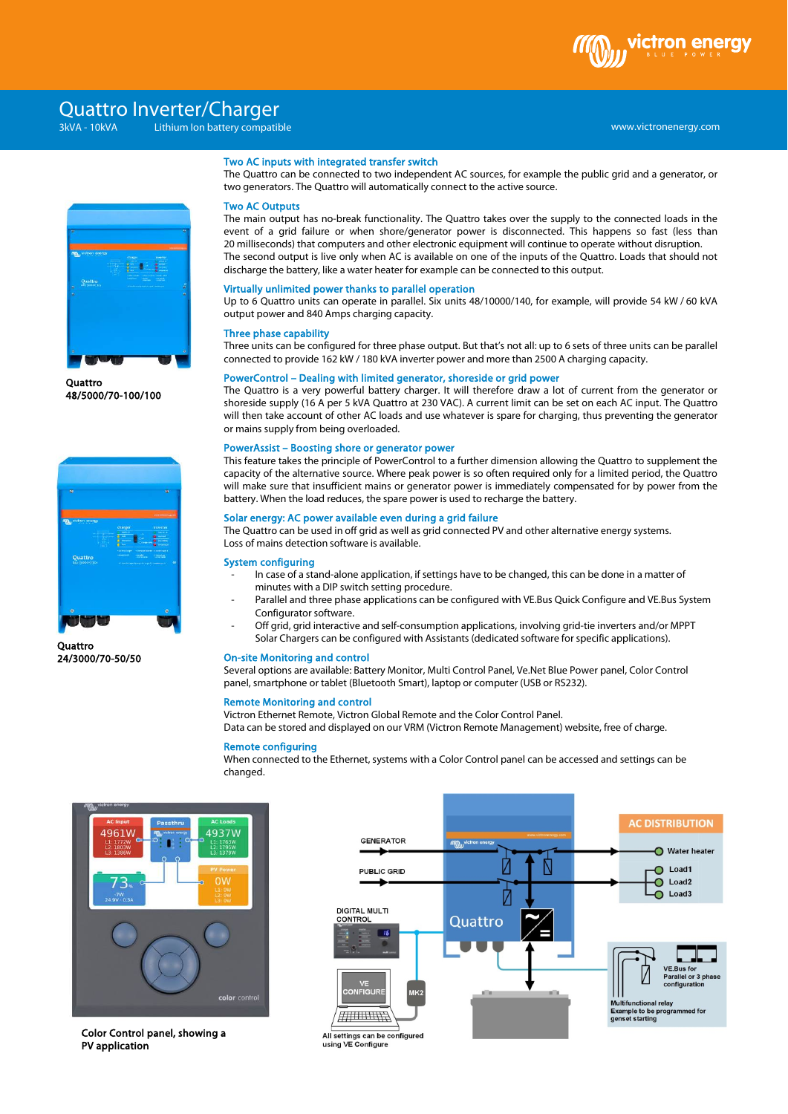

# www.victronenergy.com xxx 3kVA - 10kVA Lithium Ion battery compatible Quattro Inverter/Charger



**Ouattro** 48/5000/70-100/100



**Quattro** 24/3000/70-50/50

# Two AC inputs with integrated transfer switch

The Quattro can be connected to two independent AC sources, for example the public grid and a generator, or two generators. The Quattro will automatically connect to the active source.

### Two AC Outputs

The main output has no-break functionality. The Quattro takes over the supply to the connected loads in the event of a grid failure or when shore/generator power is disconnected. This happens so fast (less than 20 milliseconds) that computers and other electronic equipment will continue to operate without disruption. The second output is live only when AC is available on one of the inputs of the Quattro. Loads that should not discharge the battery, like a water heater for example can be connected to this output.

#### Virtually unlimited power thanks to parallel operation

Up to 6 Quattro units can operate in parallel. Six units 48/10000/140, for example, will provide 54 kW / 60 kVA output power and 840 Amps charging capacity.

#### Three phase capability

Three units can be configured for three phase output. But that's not all: up to 6 sets of three units can be parallel connected to provide 162 kW / <sup>180</sup> kVA inverter power and more than 2500 A charging capacity.

#### PowerControl – Dealing with limited generator, shoreside or grid power

The Quattro is a very powerful battery charger. It will therefore draw a lot of current from the generator or shoreside supply (16 A per 5 kVA Quattro at 230 VAC). A current limit can be set on each AC input. The Quattro will then take account of other AC loads and use whatever is spare for charging, thus preventing the generator or mains supply from being overloaded.

#### PowerAssist – Boosting shore or generator power

This feature takes the principle of PowerControl to a further dimension allowing the Quattro to supplement the capacity of the alternative source. Where peak power is so often required only for a limited period, the Quattro will make sure that insufficient mains or generator power is immediately compensated for by power from the battery. When the load reduces, the spare power is used to recharge the battery.

# Solar energy: AC power available even during a grid failure

The Quattro can be used in off grid as well as grid connected PV and other alternative energy systems. Loss of mains detection software is available.

#### System configuring

- In case of a stand-alone application, if settings have to be changed, this can be done in a matter of minutes with a DIP switch setting procedure.
- Parallel and three phase applications can be configured with VE.Bus Quick Configure and VE.Bus System Configurator software.
- Off grid, grid interactive and self-consumption applications, involving grid-tie inverters and/or MPPT Solar Chargers can be configured with Assistants (dedicated software for specific applications).

#### On-site Monitoring and control

Several options are available: Battery Monitor, Multi Control Panel, Ve.Net Blue Power panel, Color Control panel, smartphone or tablet (Bluetooth Smart), laptop or computer (USB or RS232).

## Remote Monitoring and control

Victron Ethernet Remote, Victron Global Remote and the Color Control Panel.

Data can be stored and displayed on our VRM (Victron Remote Management) website, free of charge.

## Remote configuring

When connected to the Ethernet, systems with a Color Control panel can be accessed and settings can be changed.



Color Control panel, showing a PV application